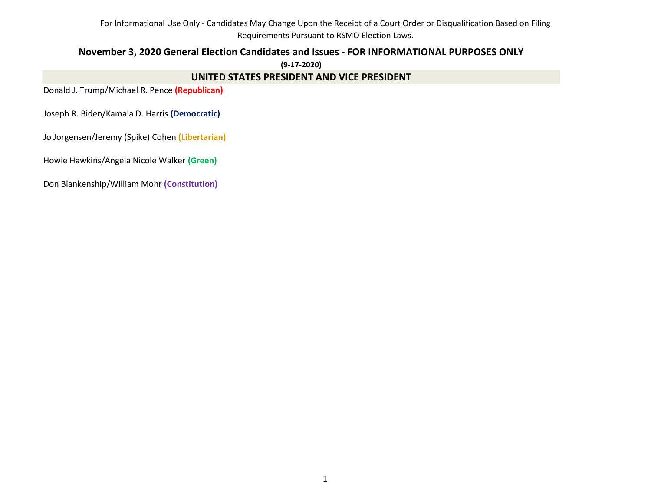# **November 3, 2020 General Election Candidates and Issues - FOR INFORMATIONAL PURPOSES ONLY**

**(9-17-2020)**

## **UNITED STATES PRESIDENT AND VICE PRESIDENT**

Donald J. Trump/Michael R. Pence **(Republican)**

Joseph R. Biden/Kamala D. Harris **(Democratic)**

Jo Jorgensen/Jeremy (Spike) Cohen **(Libertarian)**

Howie Hawkins/Angela Nicole Walker **(Green)**

Don Blankenship/William Mohr **(Constitution)**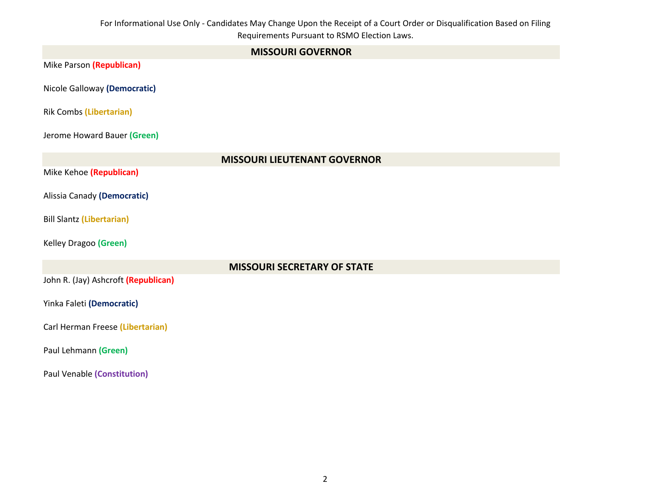| <b>MISSOURI GOVERNOR</b>            |
|-------------------------------------|
| Mike Parson (Republican)            |
| Nicole Galloway (Democratic)        |
| <b>Rik Combs (Libertarian)</b>      |
| Jerome Howard Bauer (Green)         |
| <b>MISSOURI LIEUTENANT GOVERNOR</b> |
| Mike Kehoe (Republican)             |
| Alissia Canady (Democratic)         |
| <b>Bill Slantz (Libertarian)</b>    |
| Kelley Dragoo (Green)               |
| <b>MISSOURI SECRETARY OF STATE</b>  |
| John R. (Jay) Ashcroft (Republican) |
| Yinka Faleti (Democratic)           |
| Carl Herman Freese (Libertarian)    |
| Paul Lehmann (Green)                |
| <b>Paul Venable (Constitution)</b>  |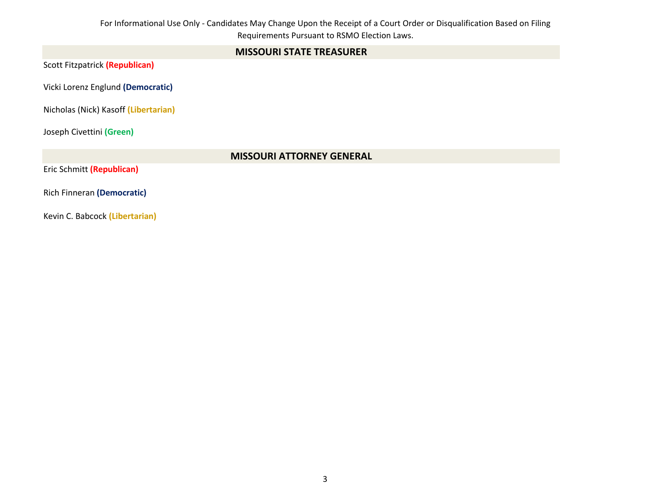# **MISSOURI STATE TREASURER**

Scott Fitzpatrick **(Republican)**

Vicki Lorenz Englund **(Democratic)** 

Nicholas (Nick) Kasoff **(Libertarian)**

Joseph Civettini **(Green)**

## **MISSOURI ATTORNEY GENERAL**

Eric Schmitt **(Republican)**

Rich Finneran **(Democratic)** 

Kevin C. Babcock **(Libertarian)**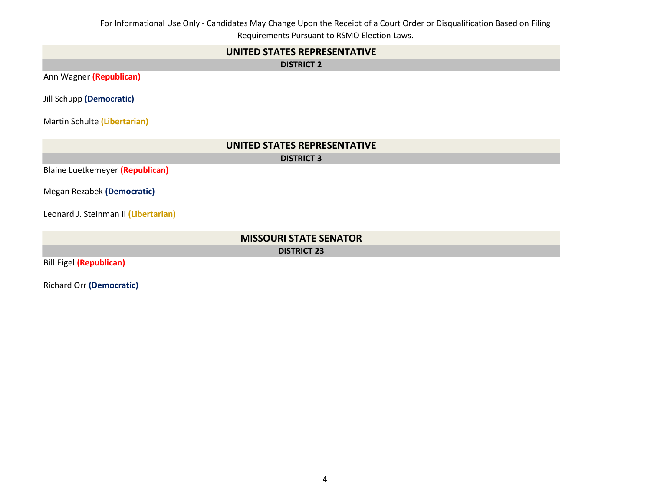## **UNITED STATES REPRESENTATIVE**

**DISTRICT 2**

Ann Wagner **(Republican)**

Jill Schupp **(Democratic)**

Martin Schulte **(Libertarian)**

| UNITED STATES REPRESENTATIVE         |
|--------------------------------------|
| <b>DISTRICT 3</b>                    |
| Blaine Luetkemeyer (Republican)      |
| Megan Rezabek (Democratic)           |
| Leonard J. Steinman II (Libertarian) |
| <b>MISSOURI STATE SENATOR</b>        |
| <b>DISTRICT 23</b>                   |
| <b>Bill Eigel (Republican)</b>       |

Richard Orr **(Democratic)**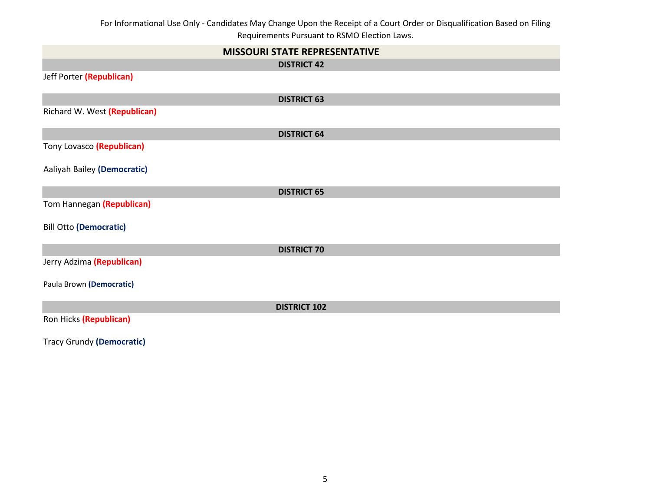| <b>MISSOURI STATE REPRESENTATIVE</b> |
|--------------------------------------|
| <b>DISTRICT 42</b>                   |
| Jeff Porter (Republican)             |
| <b>DISTRICT 63</b>                   |
| Richard W. West (Republican)         |
| <b>DISTRICT 64</b>                   |
| Tony Lovasco (Republican)            |
| Aaliyah Bailey (Democratic)          |
| <b>DISTRICT 65</b>                   |
| Tom Hannegan (Republican)            |
| <b>Bill Otto (Democratic)</b>        |
| <b>DISTRICT 70</b>                   |
| Jerry Adzima (Republican)            |
| Paula Brown (Democratic)             |
| <b>DISTRICT 102</b>                  |
| Ron Hicks (Republican)               |

Tracy Grundy **(Democratic)**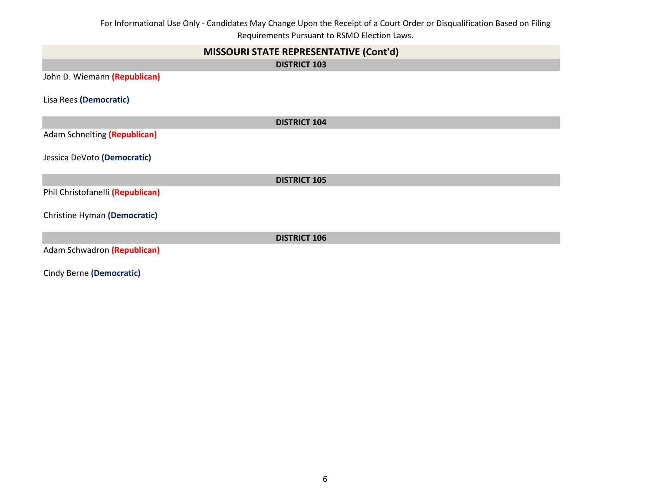| MISSOURI STATE REPRESENTATIVE (Cont'd) |
|----------------------------------------|
| <b>DISTRICT 103</b>                    |
| John D. Wiemann (Republican)           |
| Lisa Rees (Democratic)                 |
| <b>DISTRICT 104</b>                    |
| Adam Schnelting (Republican)           |
| Jessica DeVoto (Democratic)            |
| <b>DISTRICT 105</b>                    |
| Phil Christofanelli (Republican)       |
| Christine Hyman (Democratic)           |
| <b>DISTRICT 106</b>                    |
| Adam Schwadron (Republican)            |
| Cindy Berne (Democratic)               |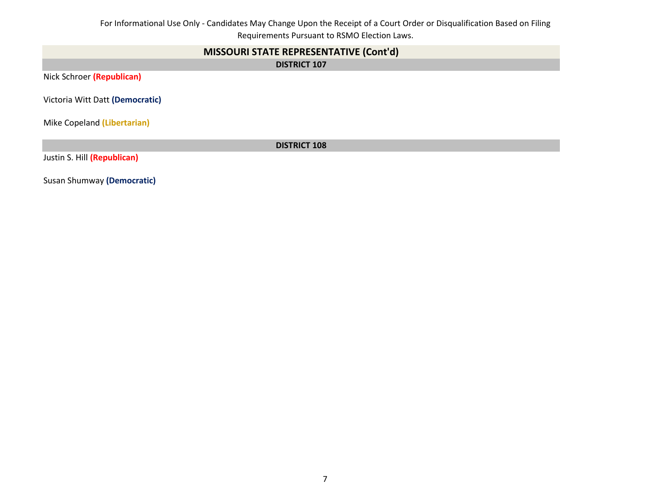# **MISSOURI STATE REPRESENTATIVE (Cont'd)**

**DISTRICT 107**

Nick Schroer **(Republican)**

Victoria Witt Datt **(Democratic)**

Mike Copeland **(Libertarian)**

**DISTRICT 108**

Justin S. Hill **(Republican)**

Susan Shumway **(Democratic)**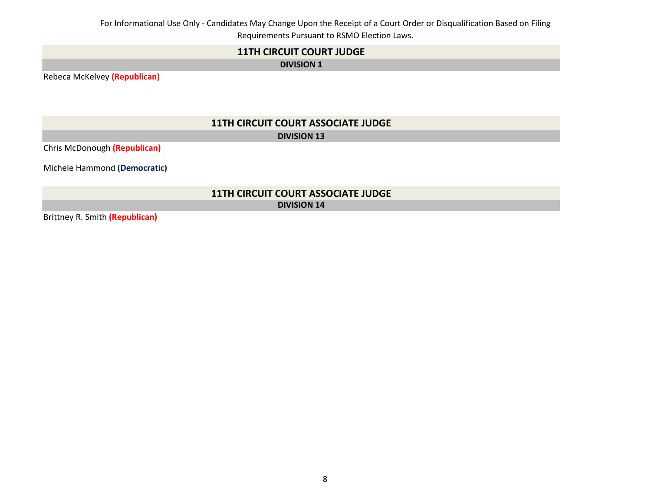# **11TH CIRCUIT COURT JUDGE**

**DIVISION 1**

Rebeca McKelvey **(Republican)**

# **11TH CIRCUIT COURT ASSOCIATE JUDGE DIVISION 13**

Chris McDonough **(Republican)**

Michele Hammond **(Democratic)**

## **11TH CIRCUIT COURT ASSOCIATE JUDGE DIVISION 14**

Brittney R. Smith **(Republican)**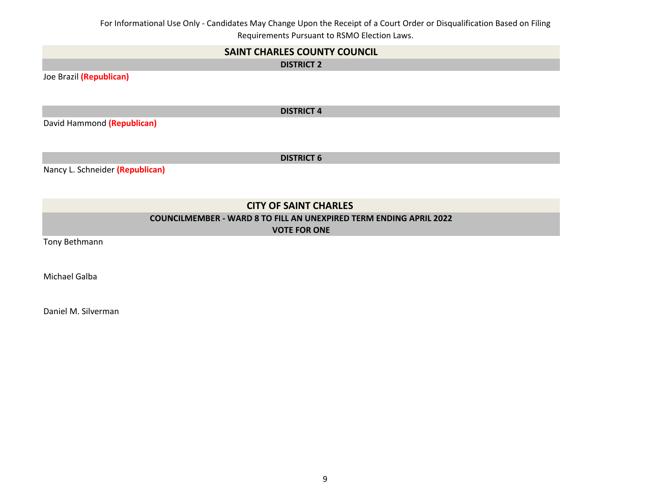| <b>SAINT CHARLES COUNTY COUNCIL</b>                                       |
|---------------------------------------------------------------------------|
| <b>DISTRICT 2</b>                                                         |
| Joe Brazil (Republican)                                                   |
|                                                                           |
|                                                                           |
| <b>DISTRICT 4</b>                                                         |
| David Hammond (Republican)                                                |
|                                                                           |
|                                                                           |
| <b>DISTRICT 6</b>                                                         |
| Nancy L. Schneider (Republican)                                           |
|                                                                           |
|                                                                           |
| <b>CITY OF SAINT CHARLES</b>                                              |
| <b>COUNCILMEMBER - WARD 8 TO FILL AN UNEXPIRED TERM ENDING APRIL 2022</b> |

**VOTE FOR ONE**

Tony Bethmann

Michael Galba

Daniel M. Silverman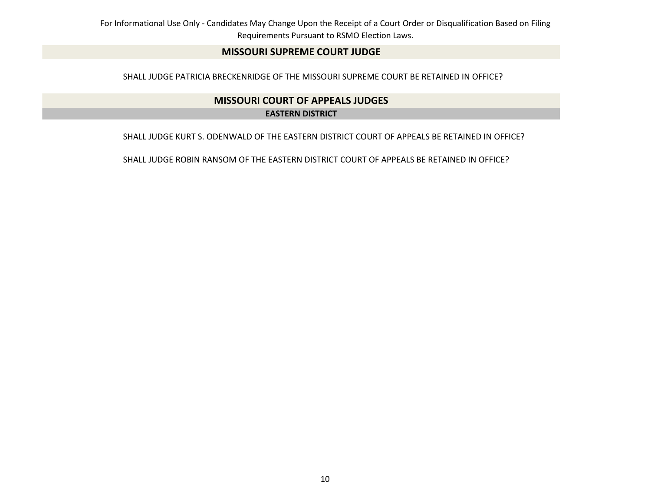## **MISSOURI SUPREME COURT JUDGE**

SHALL JUDGE PATRICIA BRECKENRIDGE OF THE MISSOURI SUPREME COURT BE RETAINED IN OFFICE?

# **MISSOURI COURT OF APPEALS JUDGES EASTERN DISTRICT**

SHALL JUDGE KURT S. ODENWALD OF THE EASTERN DISTRICT COURT OF APPEALS BE RETAINED IN OFFICE?

SHALL JUDGE ROBIN RANSOM OF THE EASTERN DISTRICT COURT OF APPEALS BE RETAINED IN OFFICE?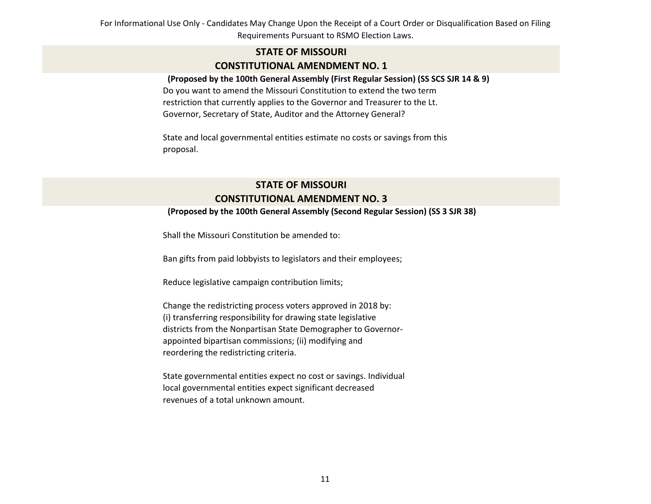# **STATE OF MISSOURI CONSTITUTIONAL AMENDMENT NO. 1**

#### **(Proposed by the 100th General Assembly (First Regular Session) (SS SCS SJR 14 & 9)**

Do you want to amend the Missouri Constitution to extend the two term restriction that currently applies to the Governor and Treasurer to the Lt. Governor, Secretary of State, Auditor and the Attorney General?

State and local governmental entities estimate no costs or savings from this proposal.

# **STATE OF MISSOURI CONSTITUTIONAL AMENDMENT NO. 3**

#### **(Proposed by the 100th General Assembly (Second Regular Session) (SS 3 SJR 38)**

Shall the Missouri Constitution be amended to:

Ban gifts from paid lobbyists to legislators and their employees;

Reduce legislative campaign contribution limits;

Change the redistricting process voters approved in 2018 by: (i) transferring responsibility for drawing state legislative districts from the Nonpartisan State Demographer to Governorappointed bipartisan commissions; (ii) modifying and reordering the redistricting criteria.

State governmental entities expect no cost or savings. Individual local governmental entities expect significant decreased revenues of a total unknown amount.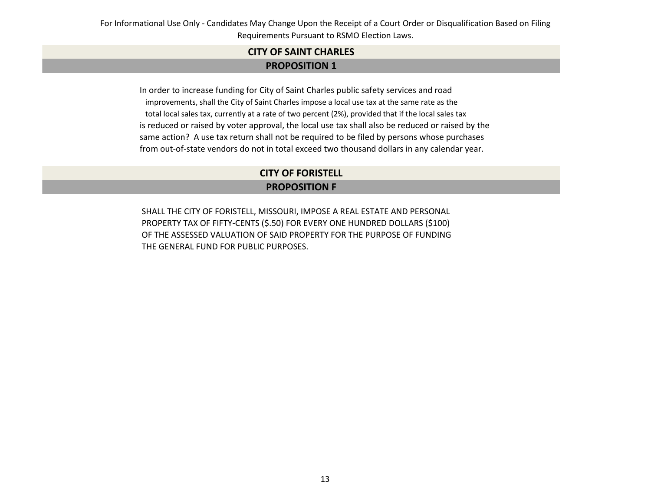# **PROPOSITION 1 CITY OF SAINT CHARLES**

 In order to increase funding for City of Saint Charles public safety services and road improvements, shall the City of Saint Charles impose a local use tax at the same rate as the total local sales tax, currently at a rate of two percent (2%), provided that if the local sales tax is reduced or raised by voter approval, the local use tax shall also be reduced or raised by the same action? A use tax return shall not be required to be filed by persons whose purchases from out-of-state vendors do not in total exceed two thousand dollars in any calendar year.

# **CITY OF FORISTELL**

# **PROPOSITION F**

SHALL THE CITY OF FORISTELL, MISSOURI, IMPOSE A REAL ESTATE AND PERSONAL PROPERTY TAX OF FIFTY-CENTS (\$.50) FOR EVERY ONE HUNDRED DOLLARS (\$100) OF THE ASSESSED VALUATION OF SAID PROPERTY FOR THE PURPOSE OF FUNDING THE GENERAL FUND FOR PUBLIC PURPOSES.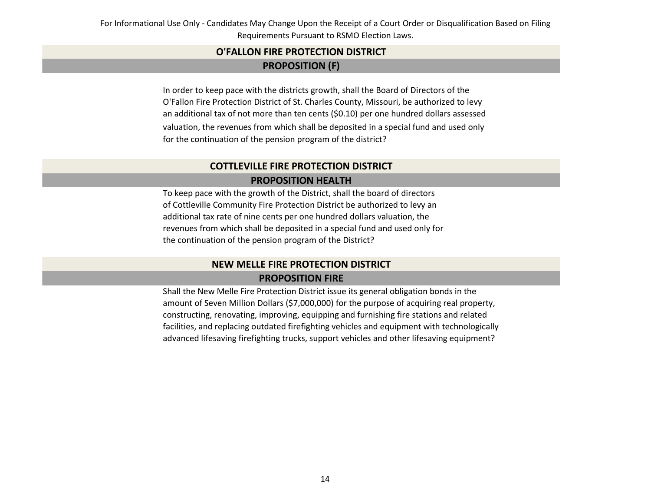# **PROPOSITION (F) O'FALLON FIRE PROTECTION DISTRICT**

In order to keep pace with the districts growth, shall the Board of Directors of the O'Fallon Fire Protection District of St. Charles County, Missouri, be authorized to levy an additional tax of not more than ten cents (\$0.10) per one hundred dollars assessed valuation, the revenues from which shall be deposited in a special fund and used only for the continuation of the pension program of the district?

# **PROPOSITION HEALTH COTTLEVILLE FIRE PROTECTION DISTRICT**

To keep pace with the growth of the District, shall the board of directors of Cottleville Community Fire Protection District be authorized to levy an additional tax rate of nine cents per one hundred dollars valuation, the revenues from which shall be deposited in a special fund and used only for the continuation of the pension program of the District?

# **NEW MELLE FIRE PROTECTION DISTRICT PROPOSITION FIRE**

Shall the New Melle Fire Protection District issue its general obligation bonds in the amount of Seven Million Dollars (\$7,000,000) for the purpose of acquiring real property, constructing, renovating, improving, equipping and furnishing fire stations and related facilities, and replacing outdated firefighting vehicles and equipment with technologically advanced lifesaving firefighting trucks, support vehicles and other lifesaving equipment?